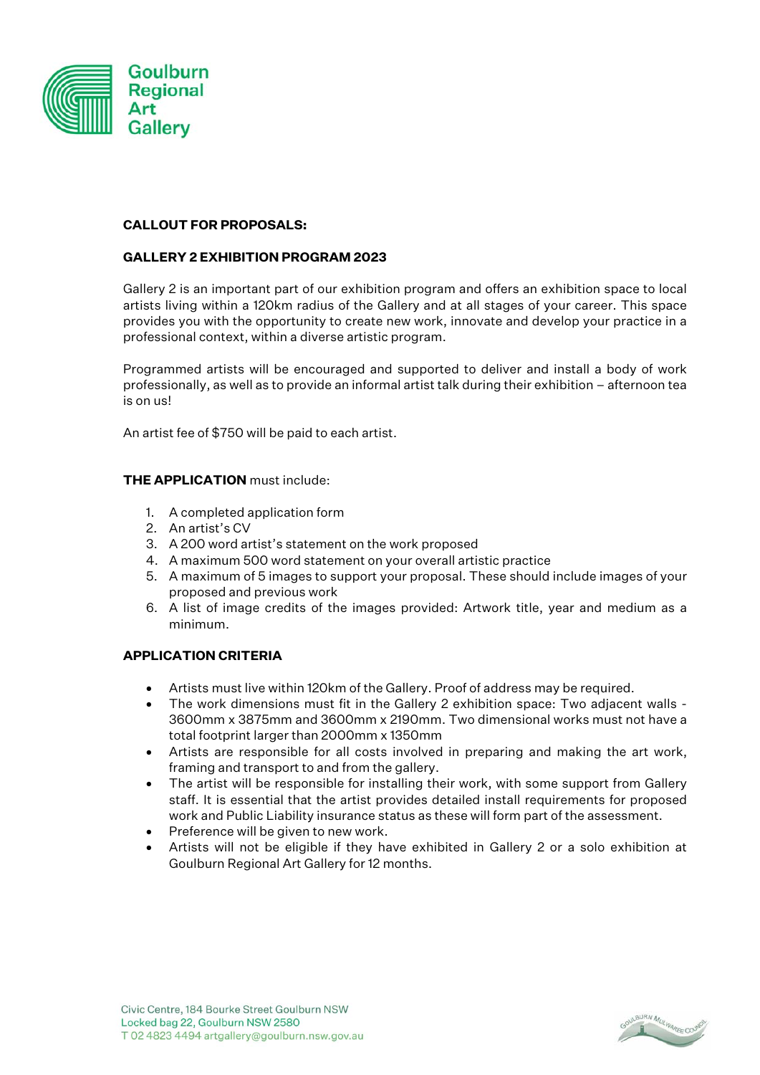

#### **CALLOUT FOR PROPOSALS:**

### **GALLERY 2 EXHIBITION PROGRAM 2023**

Gallery 2 is an important part of our exhibition program and offers an exhibition space to local artists living within a 120km radius of the Gallery and at all stages of your career. This space provides you with the opportunity to create new work, innovate and develop your practice in a professional context, within a diverse artistic program.

Programmed artists will be encouraged and supported to deliver and install a body of work professionally, as well as to provide an informal artist talk during their exhibition – afternoon tea is on us!

An artist fee of \$750 will be paid to each artist.

#### **THE APPLICATION** must include:

- 1. A completed application form
- 2. An artist's CV
- 3. A 200 word artist's statement on the work proposed
- 4. A maximum 500 word statement on your overall artistic practice
- 5. A maximum of 5 images to support your proposal. These should include images of your proposed and previous work
- 6. A list of image credits of the images provided: Artwork title, year and medium as a minimum.

#### **APPLICATION CRITERIA**

- Artists must live within 120km of the Gallery. Proof of address may be required.
- The work dimensions must fit in the Gallery 2 exhibition space: Two adjacent walls 3600mm x 3875mm and 3600mm x 2190mm. Two dimensional works must not have a total footprint larger than 2000mm x 1350mm
- Artists are responsible for all costs involved in preparing and making the art work, framing and transport to and from the gallery.
- The artist will be responsible for installing their work, with some support from Gallery staff. It is essential that the artist provides detailed install requirements for proposed work and Public Liability insurance status as these will form part of the assessment.
- Preference will be given to new work.
- Artists will not be eligible if they have exhibited in Gallery 2 or a solo exhibition at Goulburn Regional Art Gallery for 12 months.

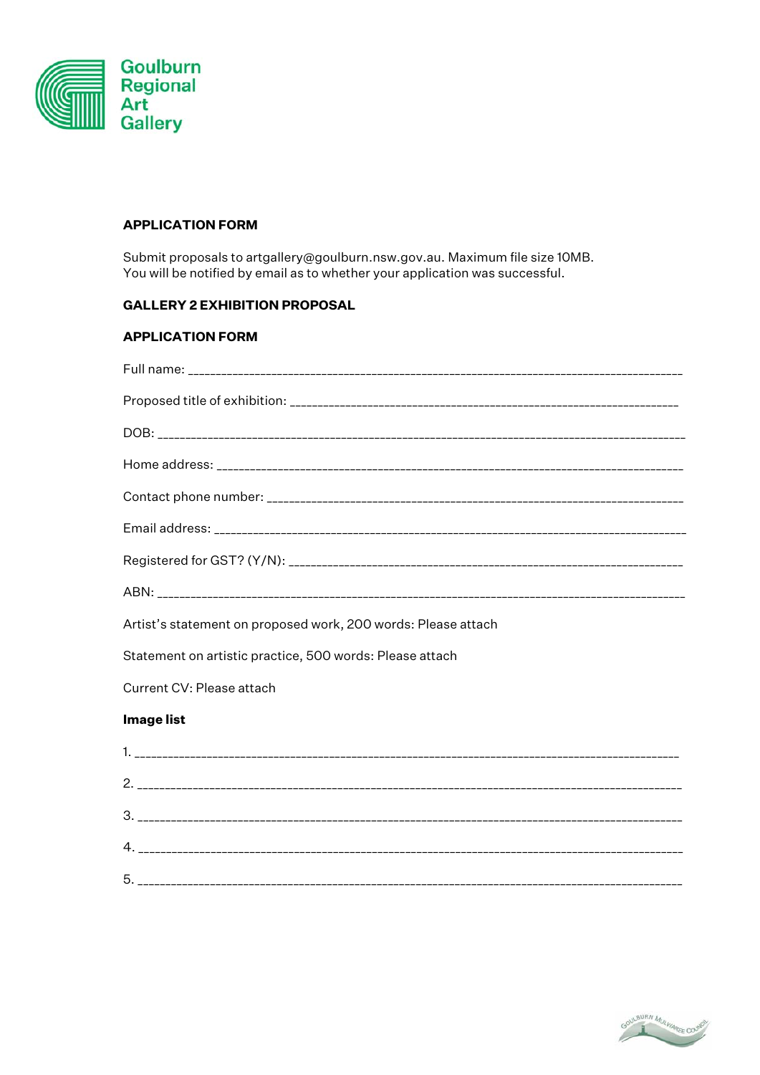

## **APPLICATION FORM**

Submit proposals to artgallery@goulburn.nsw.gov.au. Maximum file size 10MB. You will be notified by email as to whether your application was successful.

# **GALLERY 2 EXHIBITION PROPOSAL**

#### **APPLICATION FORM**

| Artist's statement on proposed work, 200 words: Please attach |
|---------------------------------------------------------------|
| Statement on artistic practice, 500 words: Please attach      |
| Current CV: Please attach                                     |
| <b>Image list</b>                                             |
|                                                               |
|                                                               |
|                                                               |
|                                                               |
|                                                               |